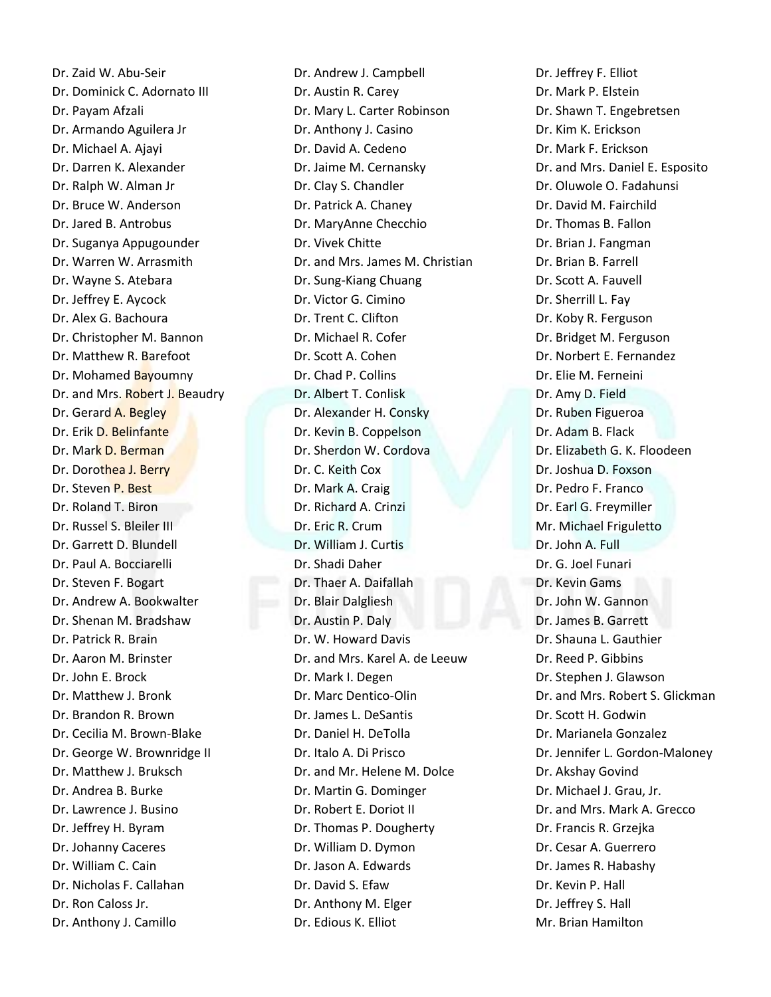Dr. Zaid W. Abu-Seir Dr. Dominick C. Adornato III Dr. Payam Afzali Dr. Armando Aguilera Jr Dr. Michael A. Ajayi Dr. Darren K. Alexander Dr. Ralph W. Alman Jr Dr. Bruce W. Anderson Dr. Jared B. Antrobus Dr. Suganya Appugounder Dr. Warren W. Arrasmith Dr. Wayne S. Atebara Dr. Jeffrey E. Aycock Dr. Alex G. Bachoura Dr. Christopher M. Bannon Dr. Matthew R. Barefoot Dr. Mohamed Bayoumny Dr. and Mrs. Robert J. Beaudry Dr. Gerard A. Begley Dr. Erik D. Belinfante Dr. Mark D. Berman Dr. Dorothea J. Berry Dr. Steven P. Best Dr. Roland T. Biron Dr. Russel S. Bleiler III Dr. Garrett D. Blundell Dr. Paul A. Bocciarelli Dr. Steven F. Bogart Dr. Andrew A. Bookwalter Dr. Shenan M. Bradshaw Dr. Patrick R. Brain Dr. Aaron M. Brinster Dr. John E. Brock Dr. Matthew J. Bronk Dr. Brandon R. Brown Dr. Cecilia M. Brown-Blake Dr. George W. Brownridge II Dr. Matthew J. Bruksch Dr. Andrea B. Burke Dr. Lawrence J. Busino Dr. Jeffrey H. Byram Dr. Johanny Caceres Dr. William C. Cain Dr. Nicholas F. Callahan Dr. Ron Caloss Jr. Dr. Anthony J. Camillo

Dr. Andrew J. Campbell Dr. Austin R. Carey Dr. Mary L. Carter Robinson Dr. Anthony J. Casino Dr. David A. Cedeno Dr. Jaime M. Cernansky Dr. Clay S. Chandler Dr. Patrick A. Chaney Dr. MaryAnne Checchio Dr. Vivek Chitte Dr. and Mrs. James M. Christian Dr. Sung-Kiang Chuang Dr. Victor G. Cimino Dr. Trent C. Clifton Dr. Michael R. Cofer Dr. Scott A. Cohen Dr. Chad P. Collins Dr. Albert T. Conlisk Dr. Alexander H. Consky Dr. Kevin B. Coppelson Dr. Sherdon W. Cordova Dr. C. Keith Cox Dr. Mark A. Craig Dr. Richard A. Crinzi Dr. Eric R. Crum Dr. William J. Curtis Dr. Shadi Daher Dr. Thaer A. Daifallah Dr. Blair Dalgliesh Dr. Austin P. Daly Dr. W. Howard Davis Dr. and Mrs. Karel A. de Leeuw Dr. Mark I. Degen Dr. Marc Dentico-Olin Dr. James L. DeSantis Dr. Daniel H. DeTolla Dr. Italo A. Di Prisco Dr. and Mr. Helene M. Dolce Dr. Martin G. Dominger Dr. Robert E. Doriot II Dr. Thomas P. Dougherty Dr. William D. Dymon Dr. Jason A. Edwards Dr. David S. Efaw Dr. Anthony M. Elger Dr. Edious K. Elliot

Dr. Jeffrey F. Elliot Dr. Mark P. Elstein Dr. Shawn T. Engebretsen Dr. Kim K. Erickson Dr. Mark F. Erickson Dr. and Mrs. Daniel E. Esposito Dr. Oluwole O. Fadahunsi Dr. David M. Fairchild Dr. Thomas B. Fallon Dr. Brian J. Fangman Dr. Brian B. Farrell Dr. Scott A. Fauvell Dr. Sherrill L. Fay Dr. Koby R. Ferguson Dr. Bridget M. Ferguson Dr. Norbert E. Fernandez Dr. Elie M. Ferneini Dr. Amy D. Field Dr. Ruben Figueroa Dr. Adam B. Flack Dr. Elizabeth G. K. Floodeen Dr. Joshua D. Foxson Dr. Pedro F. Franco Dr. Earl G. Freymiller Mr. Michael Friguletto Dr. John A. Full Dr. G. Joel Funari Dr. Kevin Gams Dr. John W. Gannon Dr. James B. Garrett Dr. Shauna L. Gauthier Dr. Reed P. Gibbins Dr. Stephen J. Glawson Dr. and Mrs. Robert S. Glickman Dr. Scott H. Godwin Dr. Marianela Gonzalez Dr. Jennifer L. Gordon-Maloney Dr. Akshay Govind Dr. Michael J. Grau, Jr. Dr. and Mrs. Mark A. Grecco Dr. Francis R. Grzejka Dr. Cesar A. Guerrero Dr. James R. Habashy Dr. Kevin P. Hall Dr. Jeffrey S. Hall Mr. Brian Hamilton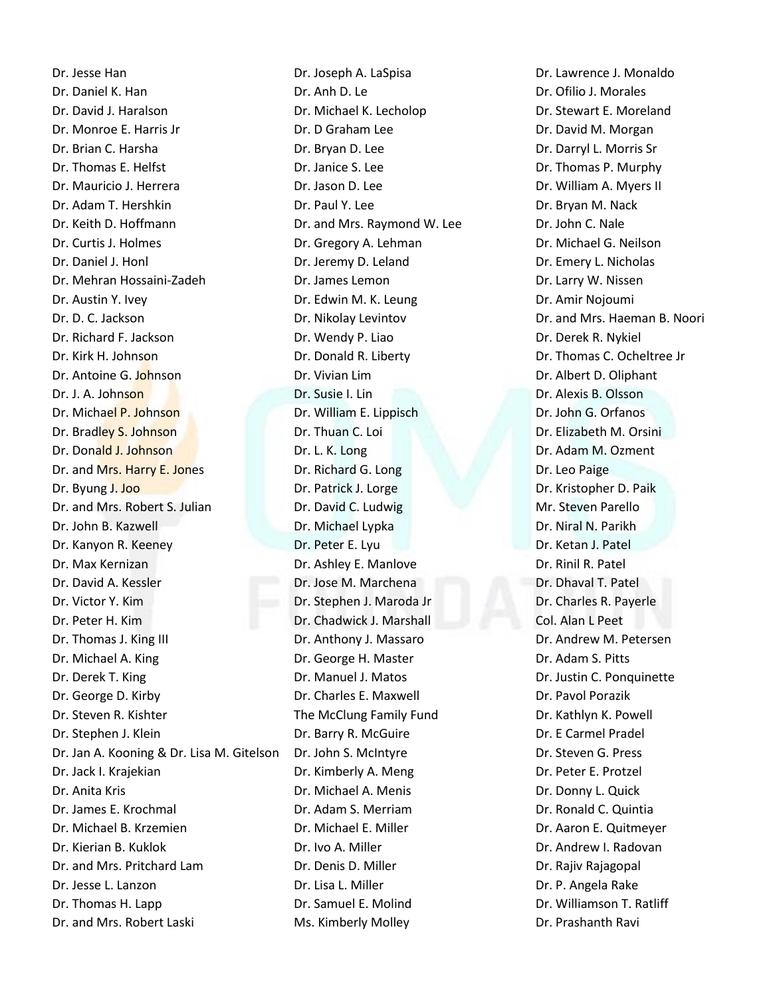Dr. Jesse Han Dr. Daniel K. Han Dr. David J. Haralson Dr. Monroe E. Harris Jr Dr. Brian C. Harsha Dr. Thomas E. Helfst Dr. Mauricio J. Herrera Dr. Adam T. Hershkin Dr. Keith D. Hoffmann Dr. Curtis J. Holmes Dr. Daniel J. Honl Dr. Mehran Hossaini-Zadeh Dr. Austin Y. Ivey Dr. D. C. Jackson Dr. Richard F. Jackson Dr. Kirk H. Johnson Dr. Antoine G. Johnson Dr. J. A. Johnson Dr. Michael P. Johnson Dr. Bradley S. Johnson Dr. Donald J. Johnson Dr. and Mrs. Harry E. Jones Dr. Byung J. Joo Dr. and Mrs. Robert S. Julian Dr. John B. Kazwell Dr. Kanyon R. Keeney Dr. Max Kernizan Dr. David A. Kessler Dr. Victor Y. Kim Dr. Peter H. Kim Dr. Thomas J. King III Dr. Michael A. King Dr. Derek T. King Dr. George D. Kirby Dr. Steven R. Kishter Dr. Stephen J. Klein Dr. Jan A. Kooning & Dr. Lisa M. Gitelson Dr. Jack I. Krajekian Dr. Anita Kris Dr. James E. Krochmal Dr. Michael B. Krzemien Dr. Kierian B. Kuklok Dr. and Mrs. Pritchard Lam Dr. Jesse L. Lanzon Dr. Thomas H. Lapp Dr. and Mrs. Robert Laski

Dr. Joseph A. LaSpisa Dr. Anh D. Le Dr. Michael K. Lecholop Dr. D Graham Lee Dr. Bryan D. Lee Dr. Janice S. Lee Dr. Jason D. Lee Dr. Paul Y. Lee Dr. and Mrs. Raymond W. Lee Dr. Gregory A. Lehman Dr. Jeremy D. Leland Dr. James Lemon Dr. Edwin M. K. Leung Dr. Nikolay Levintov Dr. Wendy P. Liao Dr. Donald R. Liberty Dr. Vivian Lim Dr. Susie I. Lin Dr. William E. Lippisch Dr. Thuan C. Loi Dr. L. K. Long Dr. Richard G. Long Dr. Patrick J. Lorge Dr. David C. Ludwig Dr. Michael Lypka Dr. Peter E. Lyu Dr. Ashley E. Manlove Dr. Jose M. Marchena Dr. Stephen J. Maroda Jr Dr. Chadwick J. Marshall Dr. Anthony J. Massaro Dr. George H. Master Dr. Manuel J. Matos Dr. Charles E. Maxwell The McClung Family Fund Dr. Barry R. McGuire Dr. John S. McIntyre Dr. Kimberly A. Meng Dr. Michael A. Menis Dr. Adam S. Merriam Dr. Michael E. Miller Dr. Ivo A. Miller Dr. Denis D. Miller Dr. Lisa L. Miller Dr. Samuel E. Molind Ms. Kimberly Molley

Dr. Lawrence J. Monaldo Dr. Ofilio J. Morales Dr. Stewart E. Moreland Dr. David M. Morgan Dr. Darryl L. Morris Sr Dr. Thomas P. Murphy Dr. William A. Myers II Dr. Bryan M. Nack Dr. John C. Nale Dr. Michael G. Neilson Dr. Emery L. Nicholas Dr. Larry W. Nissen Dr. Amir Nojoumi Dr. and Mrs. Haeman B. Noori Dr. Derek R. Nykiel Dr. Thomas C. Ocheltree Jr Dr. Albert D. Oliphant Dr. Alexis B. Olsson Dr. John G. Orfanos Dr. Elizabeth M. Orsini Dr. Adam M. Ozment Dr. Leo Paige Dr. Kristopher D. Paik Mr. Steven Parello Dr. Niral N. Parikh Dr. Ketan J. Patel Dr. Rinil R. Patel Dr. Dhaval T. Patel Dr. Charles R. Payerle Col. Alan L Peet Dr. Andrew M. Petersen Dr. Adam S. Pitts Dr. Justin C. Ponquinette Dr. Pavol Porazik Dr. Kathlyn K. Powell Dr. E Carmel Pradel Dr. Steven G. Press Dr. Peter E. Protzel Dr. Donny L. Quick Dr. Ronald C. Quintia Dr. Aaron E. Quitmeyer Dr. Andrew I. Radovan Dr. Rajiv Rajagopal Dr. P. Angela Rake Dr. Williamson T. Ratliff Dr. Prashanth Ravi